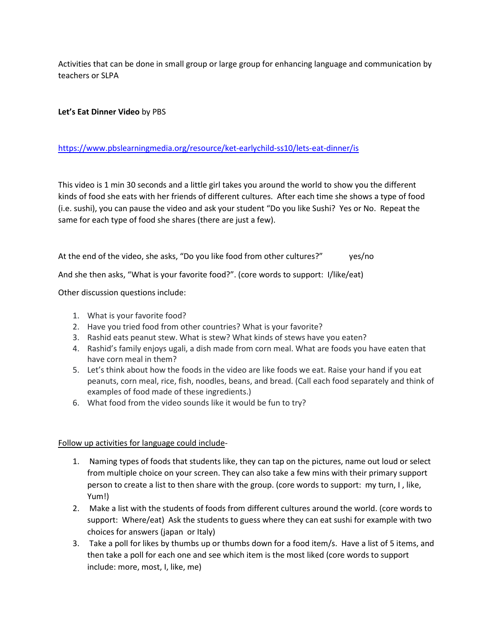Activities that can be done in small group or large group for enhancing language and communication by teachers or SLPA

# **Let's Eat Dinner Video** by PBS

## <https://www.pbslearningmedia.org/resource/ket-earlychild-ss10/lets-eat-dinner/is>

This video is 1 min 30 seconds and a little girl takes you around the world to show you the different kinds of food she eats with her friends of different cultures. After each time she shows a type of food (i.e. sushi), you can pause the video and ask your student "Do you like Sushi? Yes or No. Repeat the same for each type of food she shares (there are just a few).

At the end of the video, she asks, "Do you like food from other cultures?" yes/no

And she then asks, "What is your favorite food?". (core words to support: I/like/eat)

Other discussion questions include:

- 1. What is your favorite food?
- 2. Have you tried food from other countries? What is your favorite?
- 3. Rashid eats peanut stew. What is stew? What kinds of stews have you eaten?
- 4. Rashid's family enjoys ugali, a dish made from corn meal. What are foods you have eaten that have corn meal in them?
- 5. Let's think about how the foods in the video are like foods we eat. Raise your hand if you eat peanuts, corn meal, rice, fish, noodles, beans, and bread. (Call each food separately and think of examples of food made of these ingredients.)
- 6. What food from the video sounds like it would be fun to try?

Follow up activities for language could include-

- 1. Naming types of foods that students like, they can tap on the pictures, name out loud or select from multiple choice on your screen. They can also take a few mins with their primary support person to create a list to then share with the group. (core words to support: my turn, I , like, Yum!)
- 2. Make a list with the students of foods from different cultures around the world. (core words to support: Where/eat) Ask the students to guess where they can eat sushi for example with two choices for answers (japan or Italy)
- 3. Take a poll for likes by thumbs up or thumbs down for a food item/s. Have a list of 5 items, and then take a poll for each one and see which item is the most liked (core words to support include: more, most, I, like, me)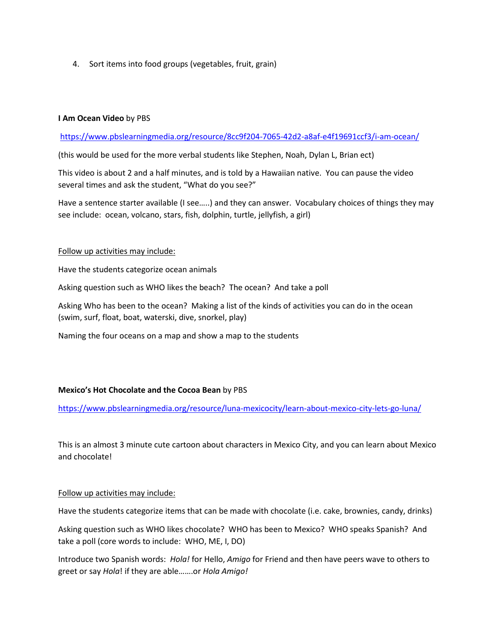4. Sort items into food groups (vegetables, fruit, grain)

### **I Am Ocean Video** by PBS

<https://www.pbslearningmedia.org/resource/8cc9f204-7065-42d2-a8af-e4f19691ccf3/i-am-ocean/>

(this would be used for the more verbal students like Stephen, Noah, Dylan L, Brian ect)

This video is about 2 and a half minutes, and is told by a Hawaiian native. You can pause the video several times and ask the student, "What do you see?"

Have a sentence starter available (I see…..) and they can answer. Vocabulary choices of things they may see include: ocean, volcano, stars, fish, dolphin, turtle, jellyfish, a girl)

#### Follow up activities may include:

Have the students categorize ocean animals

Asking question such as WHO likes the beach? The ocean? And take a poll

Asking Who has been to the ocean? Making a list of the kinds of activities you can do in the ocean (swim, surf, float, boat, waterski, dive, snorkel, play)

Naming the four oceans on a map and show a map to the students

### **Mexico's Hot Chocolate and the Cocoa Bean** by PBS

<https://www.pbslearningmedia.org/resource/luna-mexicocity/learn-about-mexico-city-lets-go-luna/>

This is an almost 3 minute cute cartoon about characters in Mexico City, and you can learn about Mexico and chocolate!

#### Follow up activities may include:

Have the students categorize items that can be made with chocolate (i.e. cake, brownies, candy, drinks)

Asking question such as WHO likes chocolate? WHO has been to Mexico? WHO speaks Spanish? And take a poll (core words to include: WHO, ME, I, DO)

Introduce two Spanish words: *Hola!* for Hello, *Amigo* for Friend and then have peers wave to others to greet or say *Hola*! if they are able…….or *Hola Amigo!*